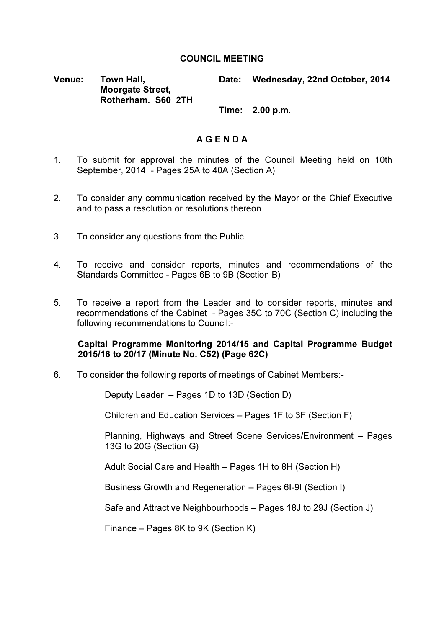## COUNCIL MEETING

Venue: Town Hall, Moorgate Street, Rotherham. S60 2TH Date: Wednesday, 22nd October, 2014

Time: 2.00 p.m.

## A G E N D A

- 1. To submit for approval the minutes of the Council Meeting held on 10th September, 2014 - Pages 25A to 40A (Section A)
- 2. To consider any communication received by the Mayor or the Chief Executive and to pass a resolution or resolutions thereon.
- 3. To consider any questions from the Public.
- 4. To receive and consider reports, minutes and recommendations of the Standards Committee - Pages 6B to 9B (Section B)
- 5. To receive a report from the Leader and to consider reports, minutes and recommendations of the Cabinet - Pages 35C to 70C (Section C) including the following recommendations to Council:-

### Capital Programme Monitoring 2014/15 and Capital Programme Budget 2015/16 to 20/17 (Minute No. C52) (Page 62C)

6. To consider the following reports of meetings of Cabinet Members:-

Deputy Leader – Pages 1D to 13D (Section D)

Children and Education Services – Pages 1F to 3F (Section F)

Planning, Highways and Street Scene Services/Environment – Pages 13G to 20G (Section G)

Adult Social Care and Health – Pages 1H to 8H (Section H)

Business Growth and Regeneration – Pages 6I-9I (Section I)

Safe and Attractive Neighbourhoods – Pages 18J to 29J (Section J)

Finance – Pages 8K to 9K (Section K)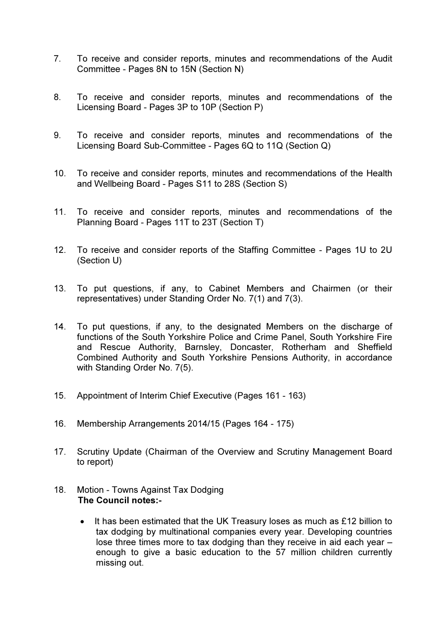- 7. To receive and consider reports, minutes and recommendations of the Audit Committee - Pages 8N to 15N (Section N)
- 8. To receive and consider reports, minutes and recommendations of the Licensing Board - Pages 3P to 10P (Section P)
- 9. To receive and consider reports, minutes and recommendations of the Licensing Board Sub-Committee - Pages 6Q to 11Q (Section Q)
- 10. To receive and consider reports, minutes and recommendations of the Health and Wellbeing Board - Pages S11 to 28S (Section S)
- 11. To receive and consider reports, minutes and recommendations of the Planning Board - Pages 11T to 23T (Section T)
- 12. To receive and consider reports of the Staffing Committee Pages 1U to 2U (Section U)
- 13. To put questions, if any, to Cabinet Members and Chairmen (or their representatives) under Standing Order No. 7(1) and 7(3).
- 14. To put questions, if any, to the designated Members on the discharge of functions of the South Yorkshire Police and Crime Panel, South Yorkshire Fire and Rescue Authority, Barnsley, Doncaster, Rotherham and Sheffield Combined Authority and South Yorkshire Pensions Authority, in accordance with Standing Order No. 7(5).
- 15. Appointment of Interim Chief Executive (Pages 161 163)
- 16. Membership Arrangements 2014/15 (Pages 164 175)
- 17. Scrutiny Update (Chairman of the Overview and Scrutiny Management Board to report)
- 18. Motion Towns Against Tax Dodging The Council notes:-
	- It has been estimated that the UK Treasury loses as much as £12 billion to tax dodging by multinational companies every year. Developing countries lose three times more to tax dodging than they receive in aid each year – enough to give a basic education to the 57 million children currently missing out.